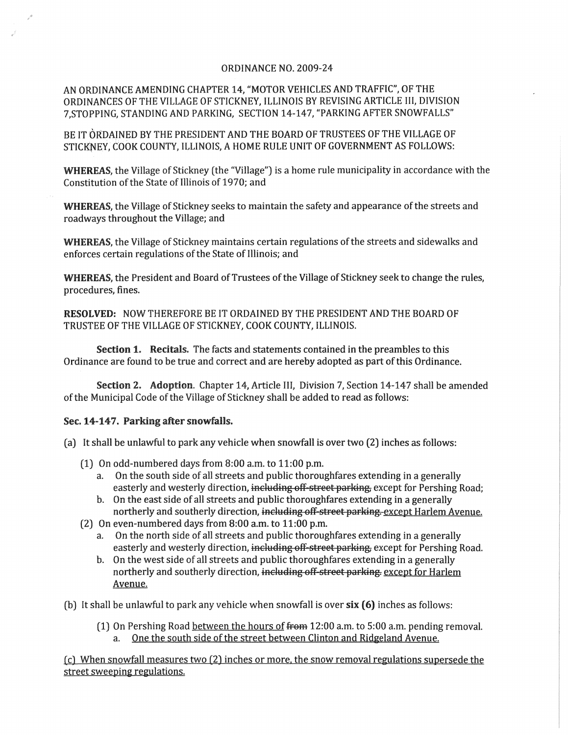## ORDINANCE NO. 2009-24

AN ORDINANCE AMENDING CHAPTER 14, "MOTOR VEHICLES AND TRAFFIC", OF THE ORDINANCES OF THE VILLAGE OF STICKNEY, ILLINOIS BY REVISING ARTICLE III, DIVISION 7,STOPPING, STANDING AND PARKING, SECTION 14-147, "PARKING AFTER SNOWFALLS"

BE IT ORDAINED BY THE PRESIDENT AND THE BOARD OF TRUSTEES OF THE VILLAGE OF STICKNEY, COOK COUNTY, ILLINOIS, A HOME RULE UNIT OF GOVERNMENT AS FOLLOWS:

WHEREAS, the Village of Stickney (the "Village") is a home rule municipality in accordance with the Constitution of the State of Illinois of 1970; and

WHEREAS, the Village of Stickney seeks to maintain the safety and appearance of the streets and roadways throughout the Village; and

WHEREAS, the Village of Stickney maintains certain regulations of the streets and sidewalks and enforces certain regulations of the State of Illinois; and

WHEREAS, the President and Board of Trustees of the Village of Stickney seek to change the rules, procedures, fines.

RESOLVED: NOW THEREFORE BE IT ORDAINED BY THE PRESIDENT AND THE BOARD OF TRUSTEE OF THE VILLAGE OF STICKNEY, COOK COUNTY, ILLINOIS.

Section 1. Recitals. The facts and statements contained in the preambles to this Ordinance are found to be true and correct and are hereby adopted as part of this Ordinance.

Section 2. Adoption. Chapter 14, Article III, Division 7, Section 14-147 shall be amended of the Municipal Code of the Village of Stickney shall be added to read as follows:

## Sec. 14-147. Parking after snowfalls.

- (a) It shall be unlawful to park any vehicle when snowfall is over two (2) inches as follows:
	- (1) On odd-numbered days from 8:00 a.m. to 11:00 p.m.
		- a. On the south side of all streets and public thoroughfares extending in a generally easterly and westerly direction, including off-street parking, except for Pershing Road;
		- b. On the east side of all streets and public thoroughfares extending in a generally northerly and southerly direction, including off-street parking. except Harlem Avenue.
	- (2) On even-numbered days from 8:00 a.m. to 11:00 p.m.
		- a. On the north side of all streets and public thoroughfares extending in a generally easterly and westerly direction, including off-street parking, except for Pershing Road.
		- b. On the west side of all streets and public thoroughfares extending in a generally northerly and southerly direction, including off-street parking. except for Harlem Avenue.
- (b) It shall be unlawful to park any vehicle when snowfall is over six (6) inches as follows:
	- (1) On Pershing Road between the hours of from 12:00 a.m. to 5:00 a.m. pending removal. a. One the south side of the street between Clinton and Ridgeland Avenue.

(cl When snowfall measures two (2) inches or more. the snow removal regulations supersede the street sweeping regulations.